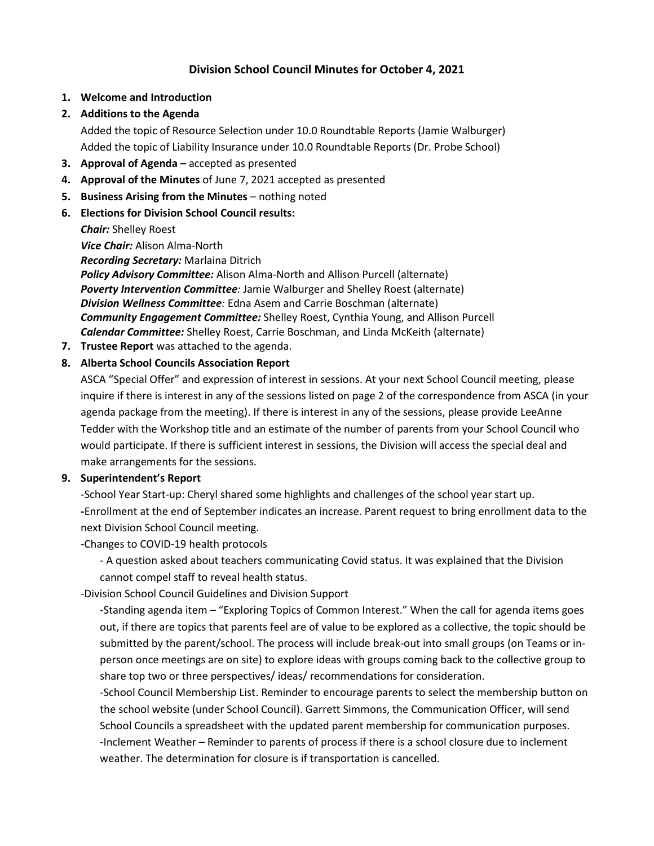# **Division School Council Minutes for October 4, 2021**

- **1. Welcome and Introduction**
- **2. Additions to the Agenda**

Added the topic of Resource Selection under 10.0 Roundtable Reports (Jamie Walburger) Added the topic of Liability Insurance under 10.0 Roundtable Reports (Dr. Probe School)

- **3. Approval of Agenda –** accepted as presented
- **4. Approval of the Minutes** of June 7, 2021 accepted as presented
- **5. Business Arising from the Minutes** nothing noted
- **6. Elections for Division School Council results:**

*Chair:* Shelley Roest

*Vice Chair:* Alison Alma-North

*Recording Secretary:* Marlaina Ditrich

*Policy Advisory Committee:* Alison Alma-North and Allison Purcell (alternate) *Poverty Intervention Committee:* Jamie Walburger and Shelley Roest (alternate) *Division Wellness Committee:* Edna Asem and Carrie Boschman (alternate) *Community Engagement Committee:* Shelley Roest, Cynthia Young, and Allison Purcell *Calendar Committee:* Shelley Roest, Carrie Boschman, and Linda McKeith (alternate)

**7. Trustee Report** was attached to the agenda.

#### **8. Alberta School Councils Association Report**

ASCA "Special Offer" and expression of interest in sessions. At your next School Council meeting, please inquire if there is interest in any of the sessions listed on page 2 of the correspondence from ASCA (in your agenda package from the meeting). If there is interest in any of the sessions, please provide LeeAnne Tedder with the Workshop title and an estimate of the number of parents from your School Council who would participate. If there is sufficient interest in sessions, the Division will access the special deal and make arrangements for the sessions.

#### **9. Superintendent's Report**

-School Year Start-up: Cheryl shared some highlights and challenges of the school year start up. **-**Enrollment at the end of September indicates an increase. Parent request to bring enrollment data to the next Division School Council meeting.

-Changes to COVID-19 health protocols

- A question asked about teachers communicating Covid status. It was explained that the Division cannot compel staff to reveal health status.

-Division School Council Guidelines and Division Support

-Standing agenda item – "Exploring Topics of Common Interest." When the call for agenda items goes out, if there are topics that parents feel are of value to be explored as a collective, the topic should be submitted by the parent/school. The process will include break-out into small groups (on Teams or inperson once meetings are on site) to explore ideas with groups coming back to the collective group to share top two or three perspectives/ ideas/ recommendations for consideration.

-School Council Membership List. Reminder to encourage parents to select the membership button on the school website (under School Council). Garrett Simmons, the Communication Officer, will send School Councils a spreadsheet with the updated parent membership for communication purposes. -Inclement Weather – Reminder to parents of process if there is a school closure due to inclement weather. The determination for closure is if transportation is cancelled.